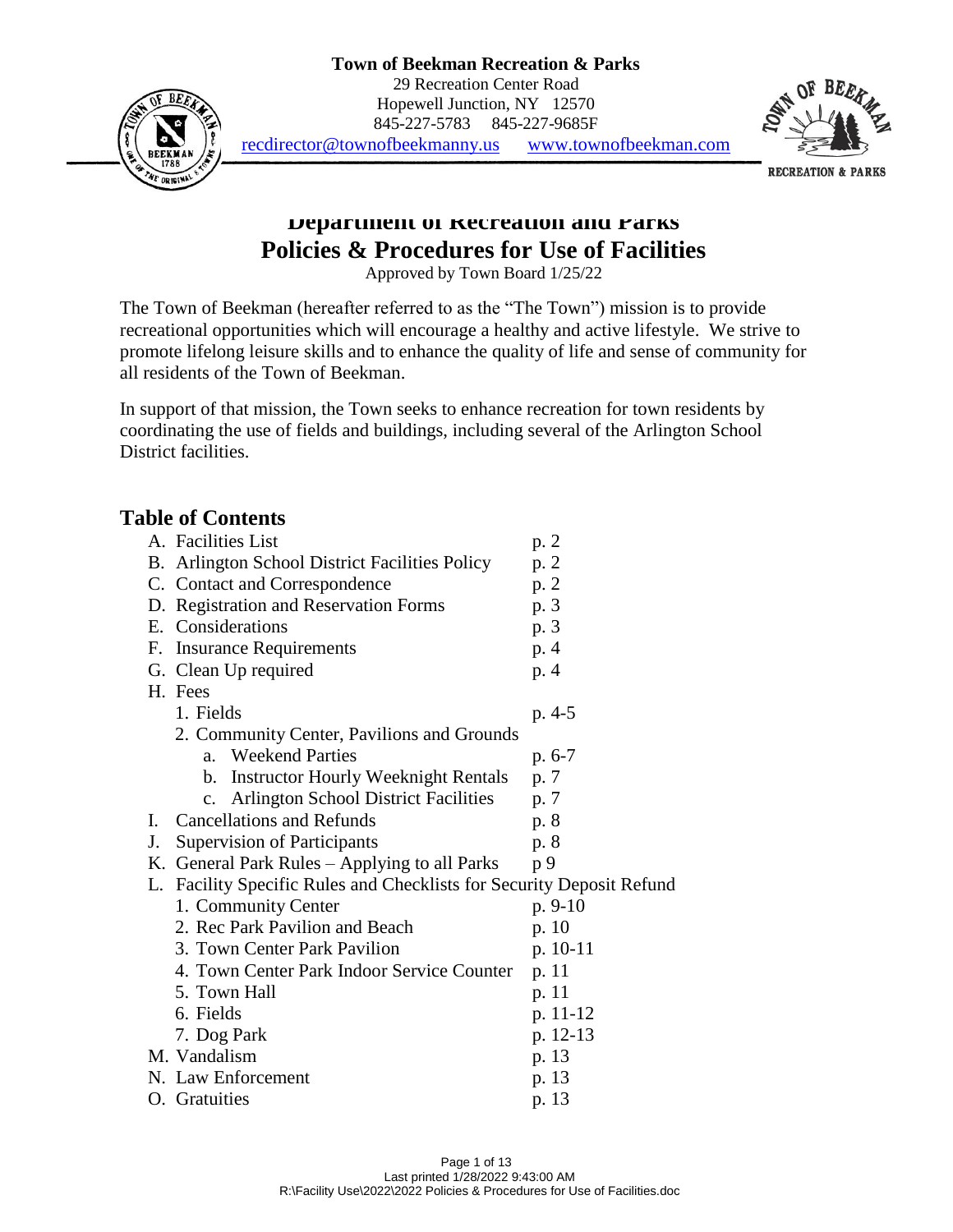### **Town of Beekman Recreation & Parks**



29 Recreation Center Road Hopewell Junction, NY 12570 845-227-5783 845-227-9685F



[recdirector@townofbeekmanny.us](mailto:recdirector@townofbeekmanny.us) [www.townofbeekman.com](http://www.townofbeekman.com/)

**Department of Recreation and Parks Policies & Procedures for Use of Facilities**

Approved by Town Board 1/25/22

The Town of Beekman (hereafter referred to as the "The Town") mission is to provide recreational opportunities which will encourage a healthy and active lifestyle. We strive to promote lifelong leisure skills and to enhance the quality of life and sense of community for all residents of the Town of Beekman.

In support of that mission, the Town seeks to enhance recreation for town residents by coordinating the use of fields and buildings, including several of the Arlington School District facilities.

### **Table of Contents**

|    | A. Facilities List                                                 | p. 2      |  |
|----|--------------------------------------------------------------------|-----------|--|
| B. | Arlington School District Facilities Policy                        | p. 2      |  |
|    | C. Contact and Correspondence                                      | p. 2      |  |
|    | D. Registration and Reservation Forms                              | p. 3      |  |
|    | E. Considerations                                                  | p. 3      |  |
| F. | <b>Insurance Requirements</b>                                      | p. 4      |  |
|    | G. Clean Up required                                               | p. 4      |  |
|    | H. Fees                                                            |           |  |
|    | 1. Fields                                                          | p. 4-5    |  |
|    | 2. Community Center, Pavilions and Grounds                         |           |  |
|    | <b>Weekend Parties</b><br>a <sub>z</sub>                           | $p. 6-7$  |  |
|    | <b>Instructor Hourly Weeknight Rentals</b><br>b.                   | p. 7      |  |
|    | <b>Arlington School District Facilities</b><br>$\mathbf{c}$ .      | p. 7      |  |
| Ι. | <b>Cancellations and Refunds</b>                                   | p. 8      |  |
| J. | <b>Supervision of Participants</b>                                 | p. 8      |  |
|    | K. General Park Rules - Applying to all Parks                      | p 9       |  |
| L. | Facility Specific Rules and Checklists for Security Deposit Refund |           |  |
|    | 1. Community Center                                                | $p. 9-10$ |  |
|    | 2. Rec Park Pavilion and Beach                                     | p. 10     |  |
|    | 3. Town Center Park Pavilion                                       | p. 10-11  |  |
|    | 4. Town Center Park Indoor Service Counter                         | p. 11     |  |
|    | 5. Town Hall                                                       | p. 11     |  |
|    | 6. Fields                                                          | p. 11-12  |  |
|    | 7. Dog Park                                                        | p. 12-13  |  |
|    | M. Vandalism                                                       | p. 13     |  |
|    | N. Law Enforcement                                                 | p. 13     |  |
|    | O. Gratuities                                                      | p. 13     |  |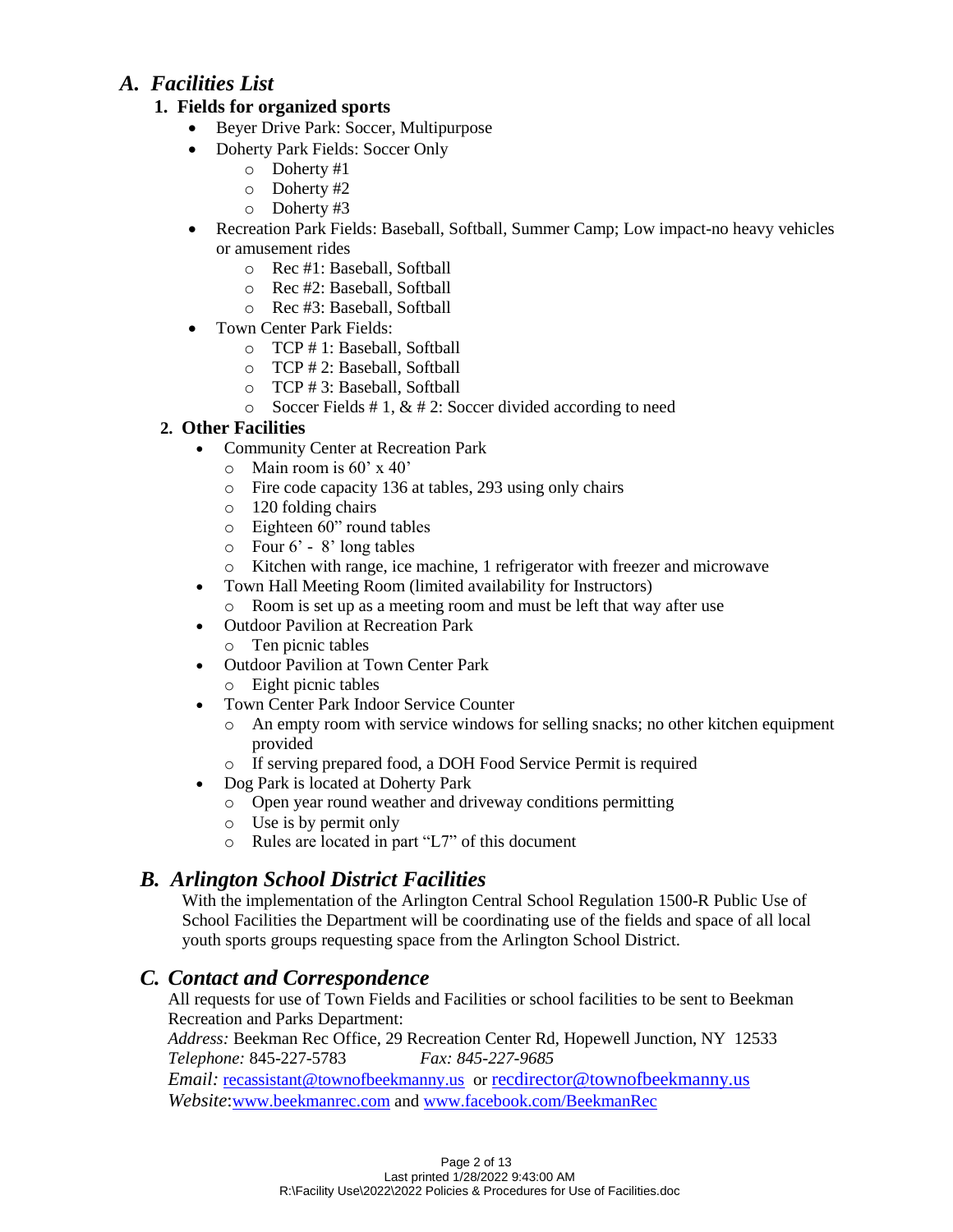## *A. Facilities List*

### **1. Fields for organized sports**

- Beyer Drive Park: Soccer, Multipurpose
- Doherty Park Fields: Soccer Only
	- o Doherty #1
	- o Doherty #2
	- o Doherty #3
- Recreation Park Fields: Baseball, Softball, Summer Camp; Low impact-no heavy vehicles or amusement rides
	- o Rec #1: Baseball, Softball
	- o Rec #2: Baseball, Softball
	- o Rec #3: Baseball, Softball
	- Town Center Park Fields:
		- o TCP # 1: Baseball, Softball
		- o TCP # 2: Baseball, Softball
		- o TCP # 3: Baseball, Softball
		- $\circ$  Soccer Fields # 1, & # 2: Soccer divided according to need

### **2. Other Facilities**

- Community Center at Recreation Park
	- $\circ$  Main room is 60' x 40'
	- o Fire code capacity 136 at tables, 293 using only chairs
	- o 120 folding chairs
	- o Eighteen 60" round tables
	- o Four 6' 8' long tables
	- o Kitchen with range, ice machine, 1 refrigerator with freezer and microwave
- Town Hall Meeting Room (limited availability for Instructors)
	- o Room is set up as a meeting room and must be left that way after use
- Outdoor Pavilion at Recreation Park
	- o Ten picnic tables
- Outdoor Pavilion at Town Center Park
	- o Eight picnic tables
- Town Center Park Indoor Service Counter
	- o An empty room with service windows for selling snacks; no other kitchen equipment provided
	- o If serving prepared food, a DOH Food Service Permit is required
- Dog Park is located at Doherty Park
	- o Open year round weather and driveway conditions permitting
	- o Use is by permit only
	- o Rules are located in part "L7" of this document

## *B. Arlington School District Facilities*

With the implementation of the Arlington Central School Regulation 1500-R Public Use of School Facilities the Department will be coordinating use of the fields and space of all local youth sports groups requesting space from the Arlington School District.

### *C. Contact and Correspondence*

All requests for use of Town Fields and Facilities or school facilities to be sent to Beekman Recreation and Parks Department:

*Address:* Beekman Rec Office, 29 Recreation Center Rd, Hopewell Junction, NY 12533 *Telephone:* 845-227-5783 *Fax: 845-227-9685*

*Email:* [recassistant@townofbeekmanny.us](mailto:recassistant@townofbeekmanny.us) or [recdirector@townofbeekmanny.us](mailto:recdirector@townofbeekmanny.us) *Website*:[www.beekmanrec.com](http://www.beekmanrec.com/) and [www.facebook.com/BeekmanRec](http://www.facebook.com/BeekmanRec)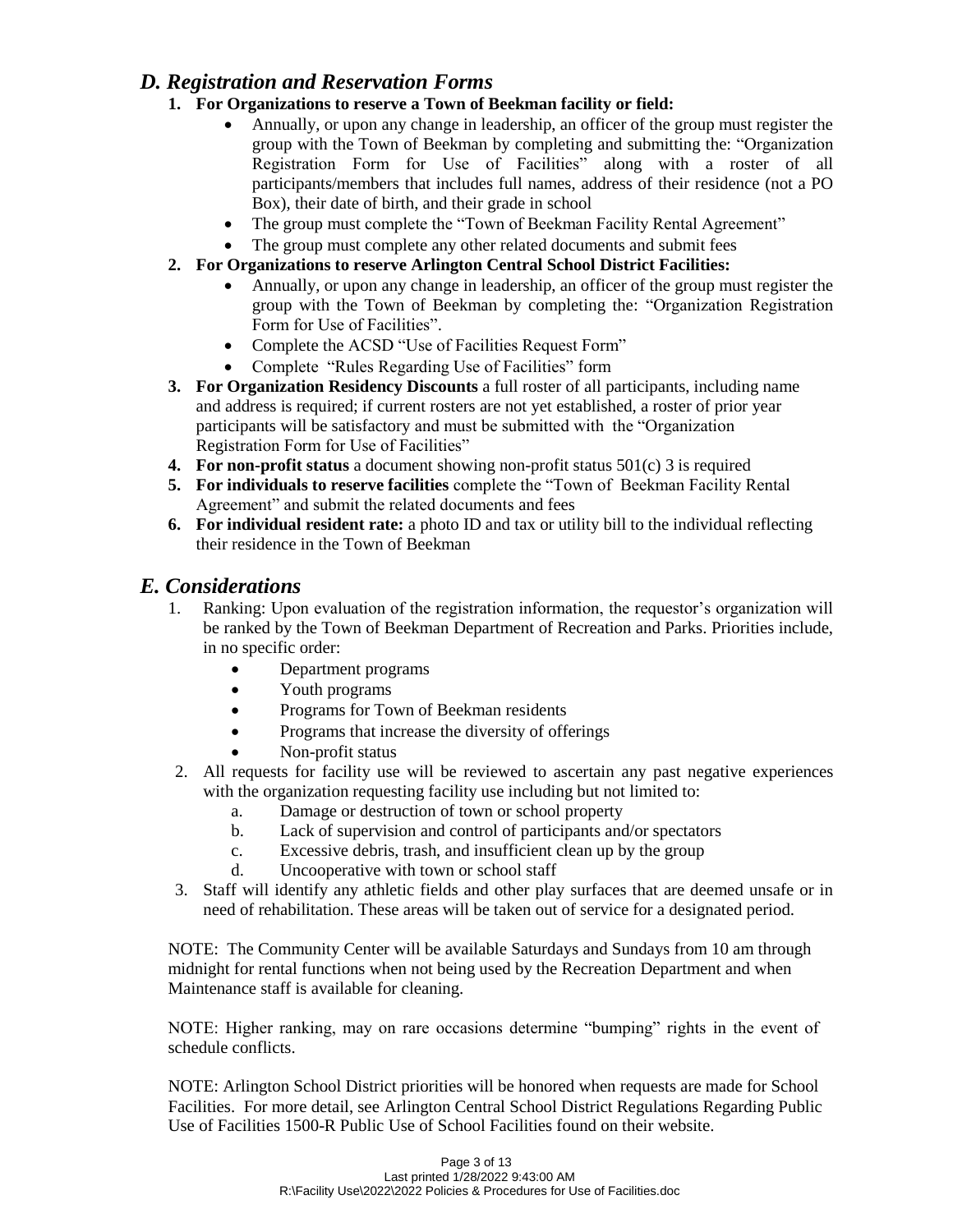### *D. Registration and Reservation Forms*

- **1. For Organizations to reserve a Town of Beekman facility or field:** 
	- Annually, or upon any change in leadership, an officer of the group must register the group with the Town of Beekman by completing and submitting the: "Organization Registration Form for Use of Facilities" along with a roster of all participants/members that includes full names, address of their residence (not a PO Box), their date of birth, and their grade in school
	- The group must complete the "Town of Beekman Facility Rental Agreement"
	- The group must complete any other related documents and submit fees
- **2. For Organizations to reserve Arlington Central School District Facilities:** 
	- Annually, or upon any change in leadership, an officer of the group must register the group with the Town of Beekman by completing the: "Organization Registration Form for Use of Facilities".
	- Complete the ACSD "Use of Facilities Request Form"
	- Complete "Rules Regarding Use of Facilities" form
- **3. For Organization Residency Discounts** a full roster of all participants, including name and address is required; if current rosters are not yet established, a roster of prior year participants will be satisfactory and must be submitted with the "Organization Registration Form for Use of Facilities"
- **4. For non-profit status** a document showing non-profit status 501(c) 3 is required
- **5. For individuals to reserve facilities** complete the "Town of Beekman Facility Rental Agreement" and submit the related documents and fees
- **6. For individual resident rate:** a photo ID and tax or utility bill to the individual reflecting their residence in the Town of Beekman

### *E. Considerations*

- 1. Ranking: Upon evaluation of the registration information, the requestor's organization will be ranked by the Town of Beekman Department of Recreation and Parks. Priorities include, in no specific order:
	- Department programs
	- Youth programs
	- Programs for Town of Beekman residents
	- Programs that increase the diversity of offerings
	- Non-profit status
- 2. All requests for facility use will be reviewed to ascertain any past negative experiences with the organization requesting facility use including but not limited to:
	- a. Damage or destruction of town or school property
	- b. Lack of supervision and control of participants and/or spectators
	- c. Excessive debris, trash, and insufficient clean up by the group
	- d. Uncooperative with town or school staff
- 3. Staff will identify any athletic fields and other play surfaces that are deemed unsafe or in need of rehabilitation. These areas will be taken out of service for a designated period.

NOTE: The Community Center will be available Saturdays and Sundays from 10 am through midnight for rental functions when not being used by the Recreation Department and when Maintenance staff is available for cleaning.

NOTE: Higher ranking, may on rare occasions determine "bumping" rights in the event of schedule conflicts.

NOTE: Arlington School District priorities will be honored when requests are made for School Facilities. For more detail, see Arlington Central School District Regulations Regarding Public Use of Facilities 1500-R Public Use of School Facilities found on their website.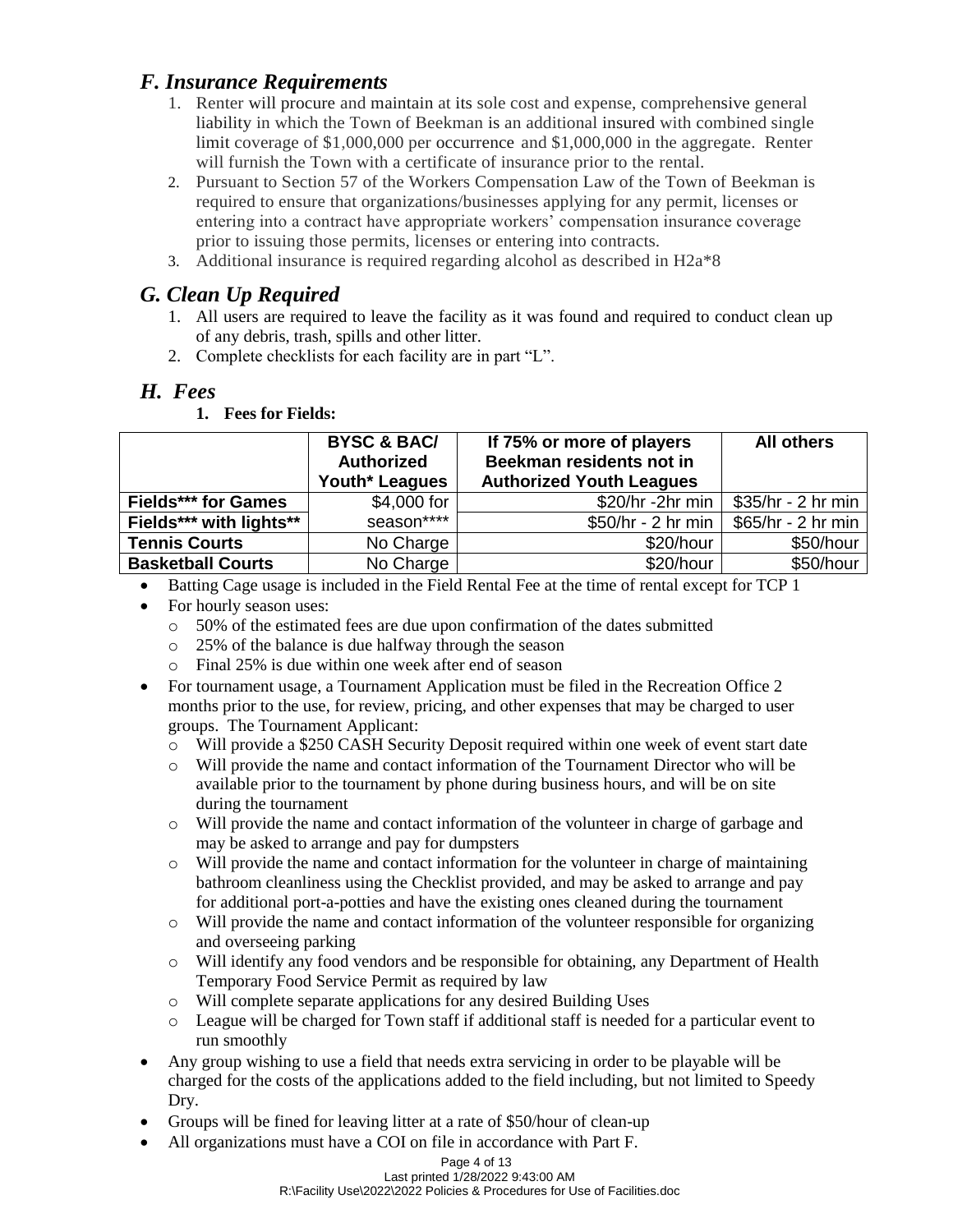## *F. Insurance Requirements*

- 1. Renter will procure and maintain at its sole cost and expense, comprehensive general liability in which the Town of Beekman is an additional insured with combined single limit coverage of \$1,000,000 per occurrence and \$1,000,000 in the aggregate. Renter will furnish the Town with a certificate of insurance prior to the rental.
- 2. Pursuant to Section 57 of the Workers Compensation Law of the Town of Beekman is required to ensure that organizations/businesses applying for any permit, licenses or entering into a contract have appropriate workers' compensation insurance coverage prior to issuing those permits, licenses or entering into contracts.
- 3. Additional insurance is required regarding alcohol as described in H2a\*8

## *G. Clean Up Required*

- 1. All users are required to leave the facility as it was found and required to conduct clean up of any debris, trash, spills and other litter.
- 2. Complete checklists for each facility are in part "L".

### *H. Fees*

#### **1. Fees for Fields:**

|                            | <b>BYSC &amp; BAC/</b><br><b>Authorized</b><br>Youth* Leagues | If 75% or more of players<br>Beekman residents not in<br><b>Authorized Youth Leagues</b> | <b>All others</b>  |
|----------------------------|---------------------------------------------------------------|------------------------------------------------------------------------------------------|--------------------|
| <b>Fields*** for Games</b> | \$4,000 for                                                   | \$20/hr -2hr min                                                                         | \$35/hr - 2 hr min |
| Fields*** with lights**    | season****                                                    | \$50/hr - 2 hr min                                                                       | \$65/hr - 2 hr min |
| <b>Tennis Courts</b>       | No Charge                                                     | \$20/hour                                                                                | \$50/hour          |
| <b>Basketball Courts</b>   | No Charge                                                     | \$20/hour                                                                                | \$50/hour          |

- Batting Cage usage is included in the Field Rental Fee at the time of rental except for TCP 1
	- For hourly season uses:
		- o 50% of the estimated fees are due upon confirmation of the dates submitted
		- o 25% of the balance is due halfway through the season
		- o Final 25% is due within one week after end of season
- For tournament usage, a Tournament Application must be filed in the Recreation Office 2 months prior to the use, for review, pricing, and other expenses that may be charged to user groups. The Tournament Applicant:
	- o Will provide a \$250 CASH Security Deposit required within one week of event start date
	- o Will provide the name and contact information of the Tournament Director who will be available prior to the tournament by phone during business hours, and will be on site during the tournament
	- o Will provide the name and contact information of the volunteer in charge of garbage and may be asked to arrange and pay for dumpsters
	- o Will provide the name and contact information for the volunteer in charge of maintaining bathroom cleanliness using the Checklist provided, and may be asked to arrange and pay for additional port-a-potties and have the existing ones cleaned during the tournament
	- o Will provide the name and contact information of the volunteer responsible for organizing and overseeing parking
	- o Will identify any food vendors and be responsible for obtaining, any Department of Health Temporary Food Service Permit as required by law
	- o Will complete separate applications for any desired Building Uses
	- o League will be charged for Town staff if additional staff is needed for a particular event to run smoothly
- Any group wishing to use a field that needs extra servicing in order to be playable will be charged for the costs of the applications added to the field including, but not limited to Speedy Dry.
- Groups will be fined for leaving litter at a rate of \$50/hour of clean-up
- All organizations must have a COI on file in accordance with Part F.

#### Page 4 of 13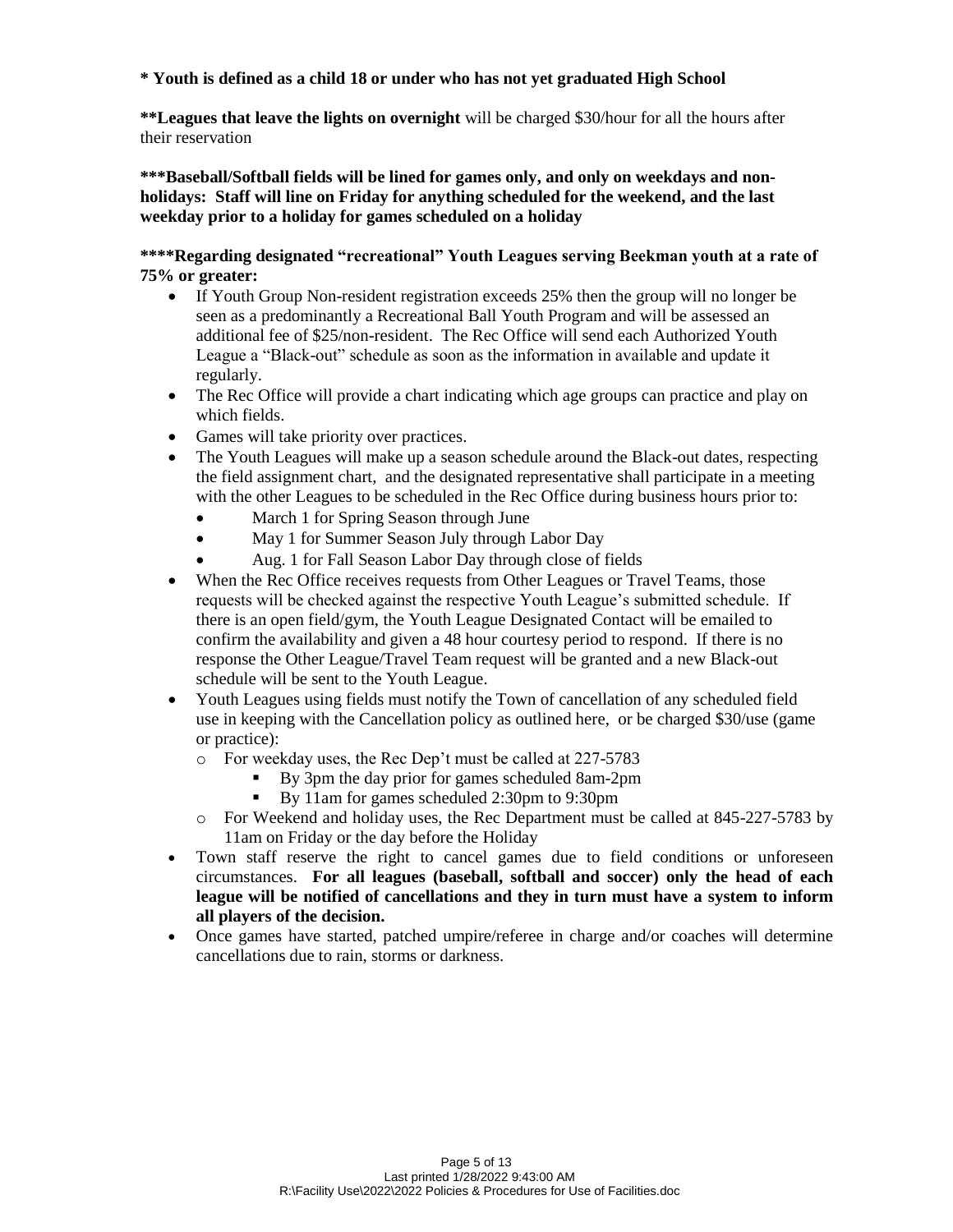#### **\* Youth is defined as a child 18 or under who has not yet graduated High School**

**\*\*Leagues that leave the lights on overnight** will be charged \$30/hour for all the hours after their reservation

**\*\*\*Baseball/Softball fields will be lined for games only, and only on weekdays and nonholidays: Staff will line on Friday for anything scheduled for the weekend, and the last weekday prior to a holiday for games scheduled on a holiday** 

**\*\*\*\*Regarding designated "recreational" Youth Leagues serving Beekman youth at a rate of 75% or greater:**

- If Youth Group Non-resident registration exceeds 25% then the group will no longer be seen as a predominantly a Recreational Ball Youth Program and will be assessed an additional fee of \$25/non-resident. The Rec Office will send each Authorized Youth League a "Black-out" schedule as soon as the information in available and update it regularly.
- The Rec Office will provide a chart indicating which age groups can practice and play on which fields.
- Games will take priority over practices.
- The Youth Leagues will make up a season schedule around the Black-out dates, respecting the field assignment chart, and the designated representative shall participate in a meeting with the other Leagues to be scheduled in the Rec Office during business hours prior to:
	- March 1 for Spring Season through June
	- May 1 for Summer Season July through Labor Day
	- Aug. 1 for Fall Season Labor Day through close of fields
- When the Rec Office receives requests from Other Leagues or Travel Teams, those requests will be checked against the respective Youth League's submitted schedule. If there is an open field/gym, the Youth League Designated Contact will be emailed to confirm the availability and given a 48 hour courtesy period to respond. If there is no response the Other League/Travel Team request will be granted and a new Black-out schedule will be sent to the Youth League.
- Youth Leagues using fields must notify the Town of cancellation of any scheduled field use in keeping with the Cancellation policy as outlined here, or be charged \$30/use (game or practice):
	- o For weekday uses, the Rec Dep't must be called at 227-5783
		- By 3pm the day prior for games scheduled 8am-2pm
		- By 11am for games scheduled 2:30pm to 9:30pm
	- o For Weekend and holiday uses, the Rec Department must be called at 845-227-5783 by 11am on Friday or the day before the Holiday
- Town staff reserve the right to cancel games due to field conditions or unforeseen circumstances. **For all leagues (baseball, softball and soccer) only the head of each league will be notified of cancellations and they in turn must have a system to inform all players of the decision.**
- Once games have started, patched umpire/referee in charge and/or coaches will determine cancellations due to rain, storms or darkness.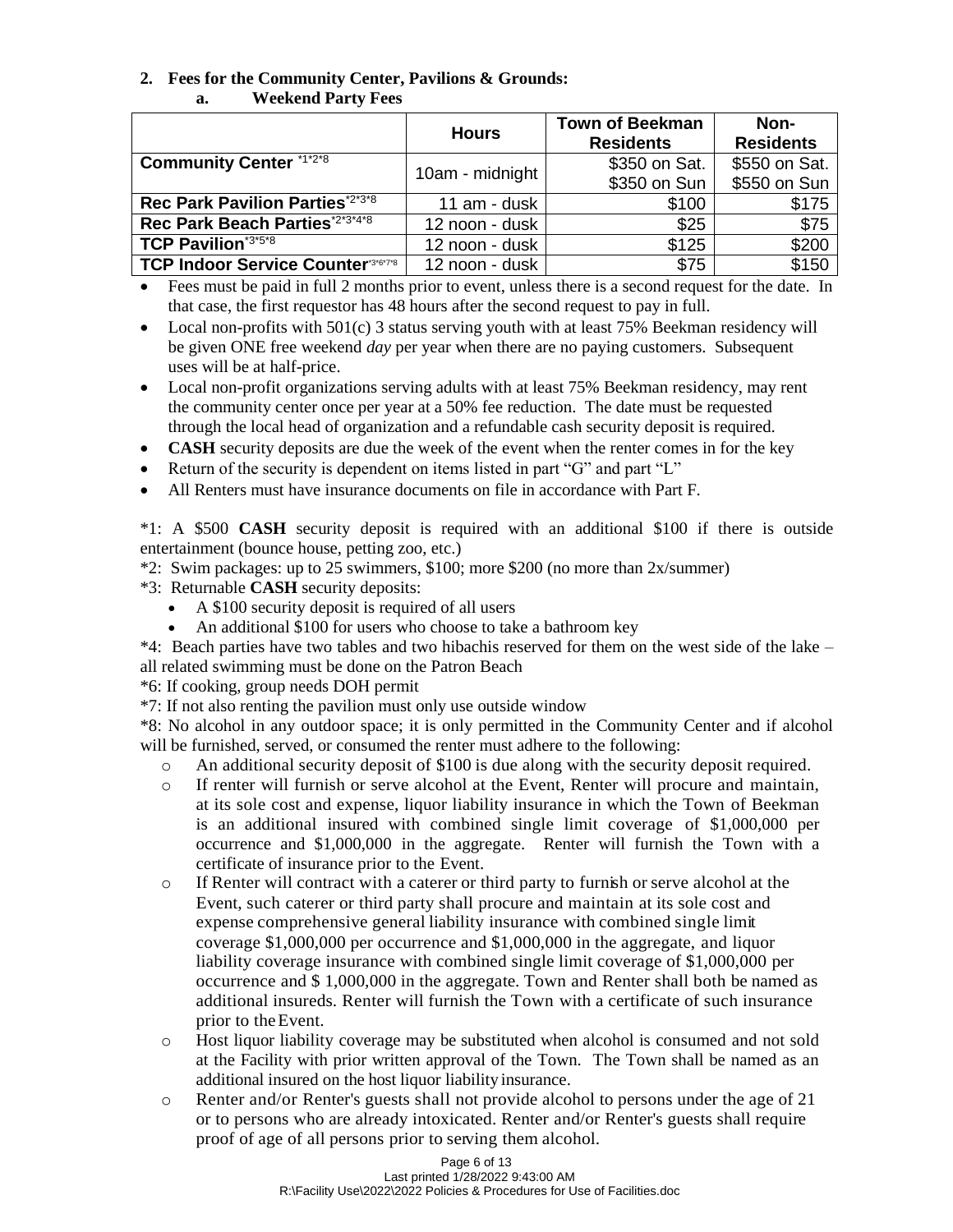# **2. Fees for the Community Center, Pavilions & Grounds:**

| а. | <b>Weekend Party Fees</b> |
|----|---------------------------|
|----|---------------------------|

|                                             | <b>Hours</b>    | <b>Town of Beekman</b><br><b>Residents</b> | Non-<br><b>Residents</b> |
|---------------------------------------------|-----------------|--------------------------------------------|--------------------------|
| <b>Community Center *1*2*8</b>              | 10am - midnight | \$350 on Sat.                              | \$550 on Sat.            |
|                                             |                 | \$350 on Sun                               | \$550 on Sun             |
| Rec Park Pavilion Parties <sup>*2*3*8</sup> | 11 am - dusk    | \$100                                      | \$175                    |
| Rec Park Beach Parties*2*3*4*8              | 12 noon - dusk  | \$25                                       | \$75                     |
| <b>TCP Pavilion*3*5*8</b>                   | 12 noon - dusk  | \$125                                      | \$200                    |
| <b>TCP Indoor Service Counter 346'7'8</b>   | 12 noon - dusk  | \$75                                       | \$150                    |

- Fees must be paid in full 2 months prior to event, unless there is a second request for the date. In that case, the first requestor has 48 hours after the second request to pay in full.
- Local non-profits with  $501(c)$  3 status serving youth with at least 75% Beekman residency will be given ONE free weekend *day* per year when there are no paying customers. Subsequent uses will be at half-price.
- Local non-profit organizations serving adults with at least 75% Beekman residency, may rent the community center once per year at a 50% fee reduction. The date must be requested through the local head of organization and a refundable cash security deposit is required.
- **CASH** security deposits are due the week of the event when the renter comes in for the key
- Return of the security is dependent on items listed in part "G" and part "L"
- All Renters must have insurance documents on file in accordance with Part F.

\*1: A \$500 **CASH** security deposit is required with an additional \$100 if there is outside entertainment (bounce house, petting zoo, etc.)

- \*2: Swim packages: up to 25 swimmers, \$100; more \$200 (no more than 2x/summer)
- \*3: Returnable **CASH** security deposits:
	- A \$100 security deposit is required of all users
	- An additional \$100 for users who choose to take a bathroom key
- \*4: Beach parties have two tables and two hibachis reserved for them on the west side of the lake all related swimming must be done on the Patron Beach

\*6: If cooking, group needs DOH permit

\*7: If not also renting the pavilion must only use outside window

\*8: No alcohol in any outdoor space; it is only permitted in the Community Center and if alcohol will be furnished, served, or consumed the renter must adhere to the following:

- o An additional security deposit of \$100 is due along with the security deposit required.
- o If renter will furnish or serve alcohol at the Event, Renter will procure and maintain, at its sole cost and expense, liquor liability insurance in which the Town of Beekman is an additional insured with combined single limit coverage of \$1,000,000 per occurrence and \$1,000,000 in the aggregate. Renter will furnish the Town with a certificate of insurance prior to the Event.
- $\circ$  If Renter will contract with a caterer or third party to furnish or serve alcohol at the Event, such caterer or third party shall procure and maintain at its sole cost and expense comprehensive general liability insurance with combined single limit coverage \$1,000,000 per occurrence and \$1,000,000 in the aggregate, and liquor liability coverage insurance with combined single limit coverage of \$1,000,000 per occurrence and \$ 1,000,000 in the aggregate. Town and Renter shall both be named as additional insureds. Renter will furnish the Town with a certificate of such insurance prior to theEvent.
- o Host liquor liability coverage may be substituted when alcohol is consumed and not sold at the Facility with prior written approval of the Town. The Town shall be named as an additional insured on the host liquor liability insurance.
- o Renter and/or Renter's guests shall not provide alcohol to persons under the age of 21 or to persons who are already intoxicated. Renter and/or Renter's guests shall require proof of age of all persons prior to serving them alcohol.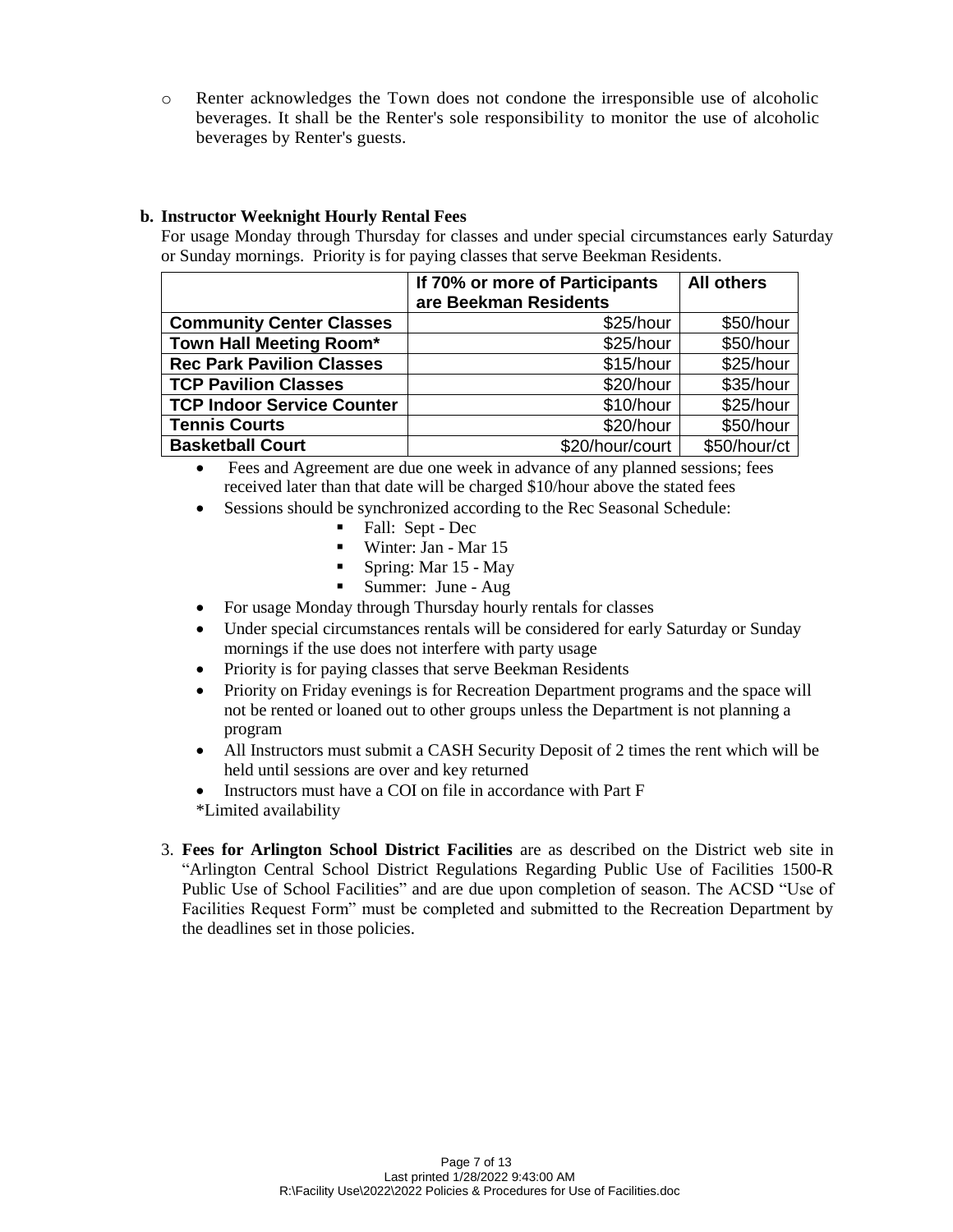o Renter acknowledges the Town does not condone the irresponsible use of alcoholic beverages. It shall be the Renter's sole responsibility to monitor the use of alcoholic beverages by Renter's guests.

#### **b. Instructor Weeknight Hourly Rental Fees**

For usage Monday through Thursday for classes and under special circumstances early Saturday or Sunday mornings. Priority is for paying classes that serve Beekman Residents.

|                                   | If 70% or more of Participants | <b>All others</b> |
|-----------------------------------|--------------------------------|-------------------|
|                                   | are Beekman Residents          |                   |
| <b>Community Center Classes</b>   | \$25/hour                      | \$50/hour         |
| Town Hall Meeting Room*           | \$25/hour                      | \$50/hour         |
| <b>Rec Park Pavilion Classes</b>  | \$15/hour                      | \$25/hour         |
| <b>TCP Pavilion Classes</b>       | \$20/hour                      | \$35/hour         |
| <b>TCP Indoor Service Counter</b> | \$10/hour                      | \$25/hour         |
| <b>Tennis Courts</b>              | \$20/hour                      | \$50/hour         |
| <b>Basketball Court</b>           | \$20/hour/court                | \$50/hour/ct      |

 Fees and Agreement are due one week in advance of any planned sessions; fees received later than that date will be charged \$10/hour above the stated fees

- Sessions should be synchronized according to the Rec Seasonal Schedule:
	- Fall: Sept Dec
	- Winter: Jan Mar 15
	- Spring: Mar 15 May
	- Summer: June Aug
- For usage Monday through Thursday hourly rentals for classes
- Under special circumstances rentals will be considered for early Saturday or Sunday mornings if the use does not interfere with party usage
- Priority is for paying classes that serve Beekman Residents
- Priority on Friday evenings is for Recreation Department programs and the space will not be rented or loaned out to other groups unless the Department is not planning a program
- All Instructors must submit a CASH Security Deposit of 2 times the rent which will be held until sessions are over and key returned
- Instructors must have a COI on file in accordance with Part F
- \*Limited availability
- 3. **Fees for Arlington School District Facilities** are as described on the District web site in "Arlington Central School District Regulations Regarding Public Use of Facilities 1500-R Public Use of School Facilities" and are due upon completion of season. The ACSD "Use of Facilities Request Form" must be completed and submitted to the Recreation Department by the deadlines set in those policies.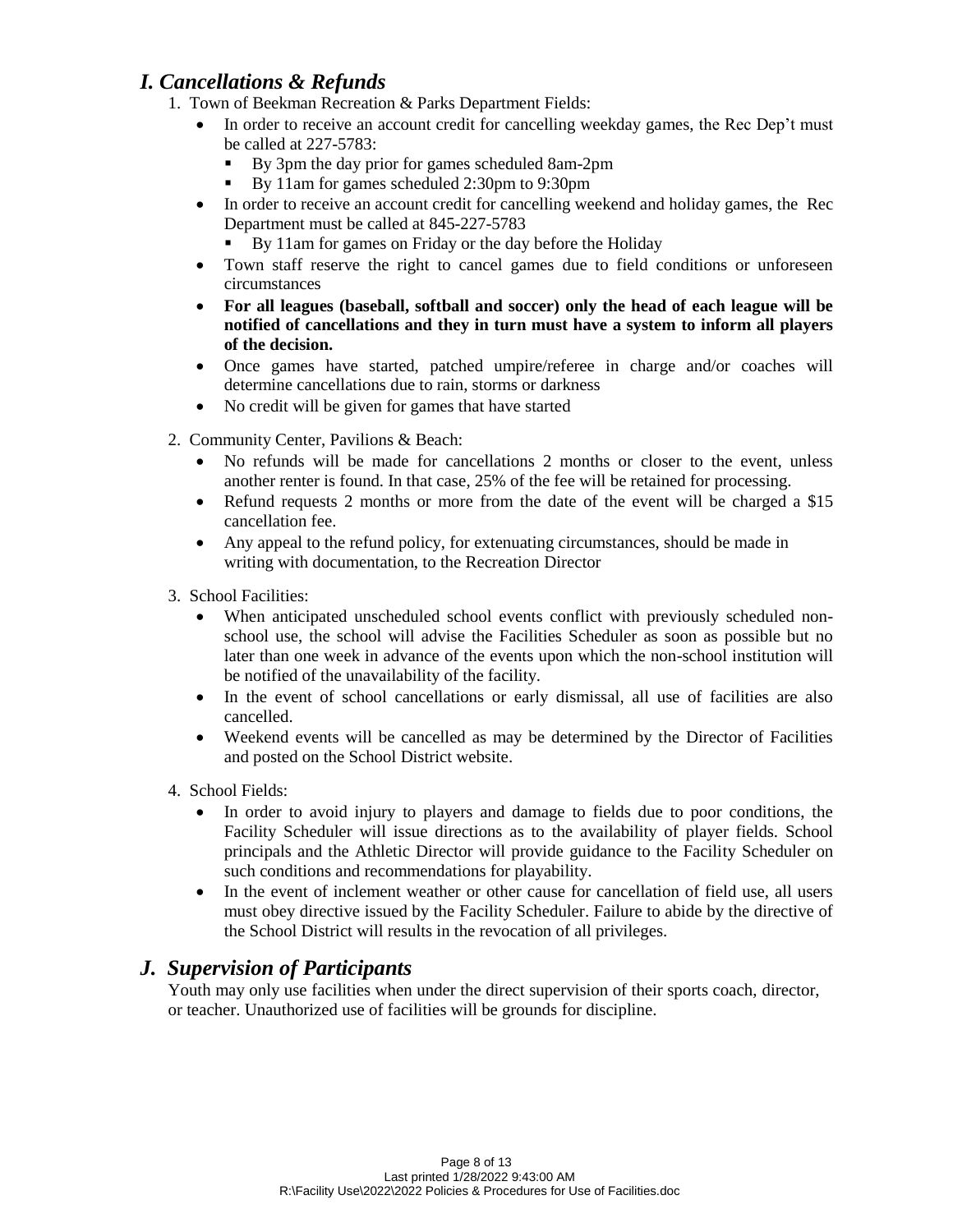## *I. Cancellations & Refunds*

- 1. Town of Beekman Recreation & Parks Department Fields:
	- In order to receive an account credit for cancelling weekday games, the Rec Dep't must be called at 227-5783:
		- By 3pm the day prior for games scheduled 8am-2pm
		- By 11am for games scheduled 2:30pm to 9:30pm
	- In order to receive an account credit for cancelling weekend and holiday games, the Rec Department must be called at 845-227-5783
		- By 11am for games on Friday or the day before the Holiday
	- Town staff reserve the right to cancel games due to field conditions or unforeseen circumstances
	- **For all leagues (baseball, softball and soccer) only the head of each league will be notified of cancellations and they in turn must have a system to inform all players of the decision.**
	- Once games have started, patched umpire/referee in charge and/or coaches will determine cancellations due to rain, storms or darkness
	- No credit will be given for games that have started
- 2. Community Center, Pavilions & Beach:
	- No refunds will be made for cancellations 2 months or closer to the event, unless another renter is found. In that case, 25% of the fee will be retained for processing.
	- Refund requests 2 months or more from the date of the event will be charged a \$15 cancellation fee.
	- Any appeal to the refund policy, for extenuating circumstances, should be made in writing with documentation, to the Recreation Director
- 3. School Facilities:
	- When anticipated unscheduled school events conflict with previously scheduled nonschool use, the school will advise the Facilities Scheduler as soon as possible but no later than one week in advance of the events upon which the non-school institution will be notified of the unavailability of the facility.
	- In the event of school cancellations or early dismissal, all use of facilities are also cancelled.
	- Weekend events will be cancelled as may be determined by the Director of Facilities and posted on the School District website.
- 4. School Fields:
	- In order to avoid injury to players and damage to fields due to poor conditions, the Facility Scheduler will issue directions as to the availability of player fields. School principals and the Athletic Director will provide guidance to the Facility Scheduler on such conditions and recommendations for playability.
	- In the event of inclement weather or other cause for cancellation of field use, all users must obey directive issued by the Facility Scheduler. Failure to abide by the directive of the School District will results in the revocation of all privileges.

### *J. Supervision of Participants*

Youth may only use facilities when under the direct supervision of their sports coach, director, or teacher. Unauthorized use of facilities will be grounds for discipline.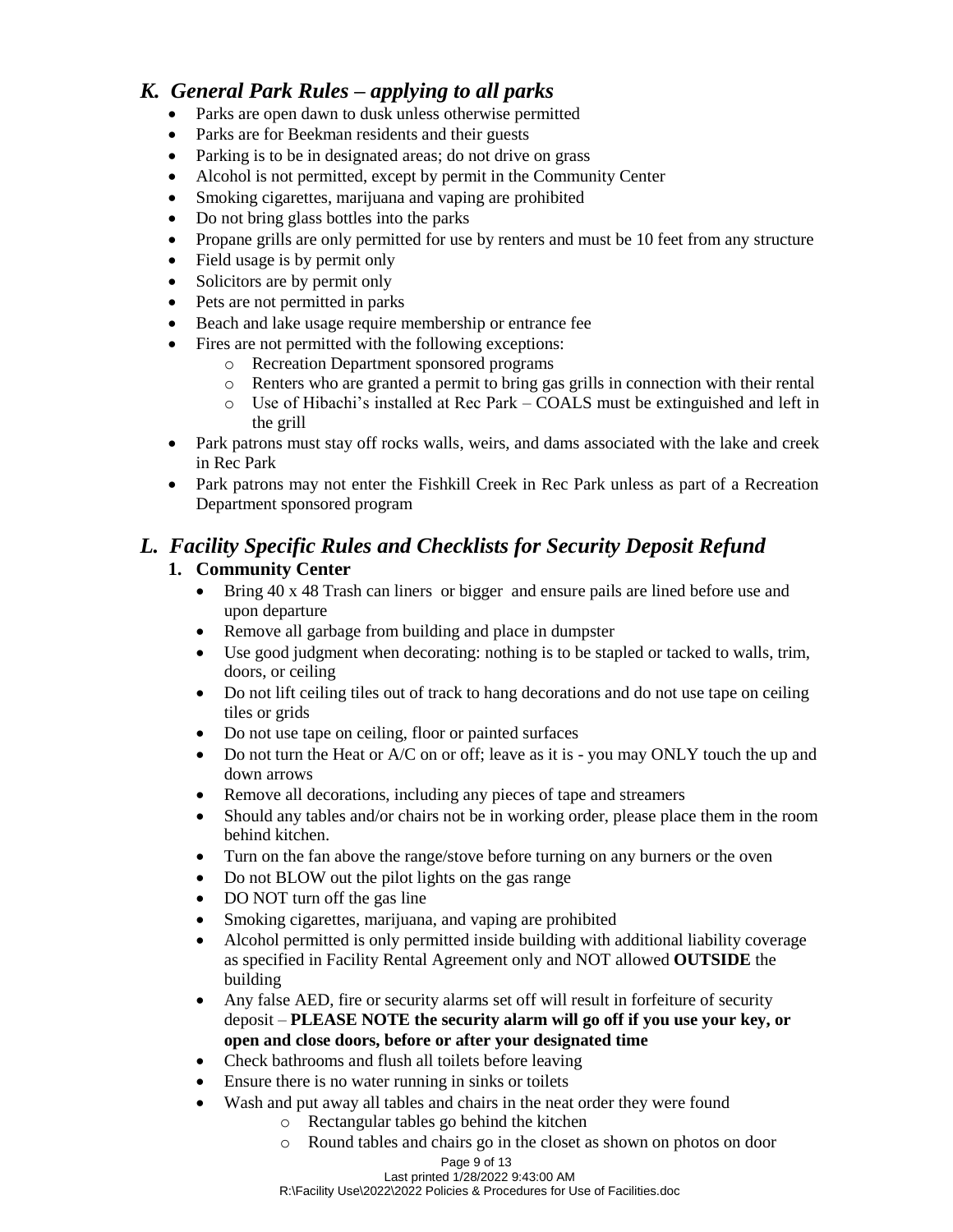## *K. General Park Rules – applying to all parks*

- Parks are open dawn to dusk unless otherwise permitted
- Parks are for Beekman residents and their guests
- Parking is to be in designated areas; do not drive on grass
- Alcohol is not permitted, except by permit in the Community Center
- Smoking cigarettes, marijuana and vaping are prohibited
- Do not bring glass bottles into the parks
- Propane grills are only permitted for use by renters and must be 10 feet from any structure
- Field usage is by permit only
- Solicitors are by permit only
- Pets are not permitted in parks
- Beach and lake usage require membership or entrance fee
- Fires are not permitted with the following exceptions:
	- o Recreation Department sponsored programs
	- o Renters who are granted a permit to bring gas grills in connection with their rental
	- o Use of Hibachi's installed at Rec Park COALS must be extinguished and left in the grill
- Park patrons must stay off rocks walls, weirs, and dams associated with the lake and creek in Rec Park
- Park patrons may not enter the Fishkill Creek in Rec Park unless as part of a Recreation Department sponsored program

# *L. Facility Specific Rules and Checklists for Security Deposit Refund*

### **1. Community Center**

- Bring 40 x 48 Trash can liners or bigger and ensure pails are lined before use and upon departure
- Remove all garbage from building and place in dumpster
- Use good judgment when decorating: nothing is to be stapled or tacked to walls, trim, doors, or ceiling
- Do not lift ceiling tiles out of track to hang decorations and do not use tape on ceiling tiles or grids
- Do not use tape on ceiling, floor or painted surfaces
- $\bullet$  Do not turn the Heat or A/C on or off; leave as it is you may ONLY touch the up and down arrows
- Remove all decorations, including any pieces of tape and streamers
- Should any tables and/or chairs not be in working order, please place them in the room behind kitchen.
- Turn on the fan above the range/stove before turning on any burners or the oven
- Do not BLOW out the pilot lights on the gas range
- DO NOT turn off the gas line
- Smoking cigarettes, marijuana, and vaping are prohibited
- Alcohol permitted is only permitted inside building with additional liability coverage as specified in Facility Rental Agreement only and NOT allowed **OUTSIDE** the building
- Any false AED, fire or security alarms set off will result in forfeiture of security deposit – **PLEASE NOTE the security alarm will go off if you use your key, or open and close doors, before or after your designated time**
- Check bathrooms and flush all toilets before leaving
- Ensure there is no water running in sinks or toilets
- Wash and put away all tables and chairs in the neat order they were found
	- o Rectangular tables go behind the kitchen
		- o Round tables and chairs go in the closet as shown on photos on door

#### Page 9 of 13

Last printed 1/28/2022 9:43:00 AM R:\Facility Use\2022\2022 Policies & Procedures for Use of Facilities.doc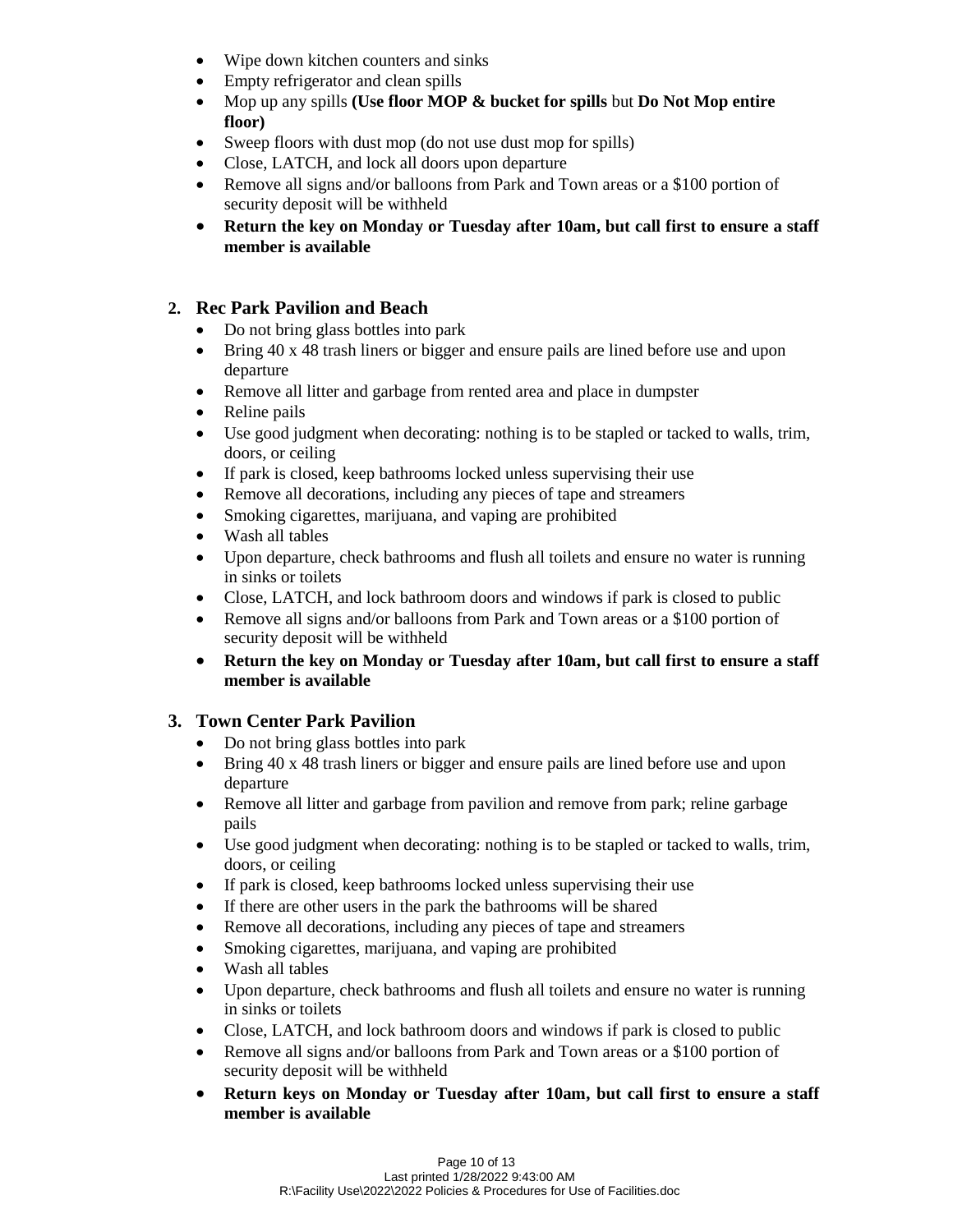- Wipe down kitchen counters and sinks
- Empty refrigerator and clean spills
- Mop up any spills **(Use floor MOP & bucket for spills** but **Do Not Mop entire floor)**
- Sweep floors with dust mop (do not use dust mop for spills)
- Close, LATCH, and lock all doors upon departure
- Remove all signs and/or balloons from Park and Town areas or a \$100 portion of security deposit will be withheld
- **Return the key on Monday or Tuesday after 10am, but call first to ensure a staff member is available**

### **2. Rec Park Pavilion and Beach**

- Do not bring glass bottles into park
- Bring 40 x 48 trash liners or bigger and ensure pails are lined before use and upon departure
- Remove all litter and garbage from rented area and place in dumpster
- Reline pails
- Use good judgment when decorating: nothing is to be stapled or tacked to walls, trim, doors, or ceiling
- If park is closed, keep bathrooms locked unless supervising their use
- Remove all decorations, including any pieces of tape and streamers
- Smoking cigarettes, marijuana, and vaping are prohibited
- Wash all tables
- Upon departure, check bathrooms and flush all toilets and ensure no water is running in sinks or toilets
- Close, LATCH, and lock bathroom doors and windows if park is closed to public
- Remove all signs and/or balloons from Park and Town areas or a \$100 portion of security deposit will be withheld
- **Return the key on Monday or Tuesday after 10am, but call first to ensure a staff member is available**

### **3. Town Center Park Pavilion**

- Do not bring glass bottles into park
- Bring 40 x 48 trash liners or bigger and ensure pails are lined before use and upon departure
- Remove all litter and garbage from pavilion and remove from park; reline garbage pails
- Use good judgment when decorating: nothing is to be stapled or tacked to walls, trim, doors, or ceiling
- If park is closed, keep bathrooms locked unless supervising their use
- If there are other users in the park the bathrooms will be shared
- Remove all decorations, including any pieces of tape and streamers
- Smoking cigarettes, marijuana, and vaping are prohibited
- Wash all tables
- Upon departure, check bathrooms and flush all toilets and ensure no water is running in sinks or toilets
- Close, LATCH, and lock bathroom doors and windows if park is closed to public
- Remove all signs and/or balloons from Park and Town areas or a \$100 portion of security deposit will be withheld
- **Return keys on Monday or Tuesday after 10am, but call first to ensure a staff member is available**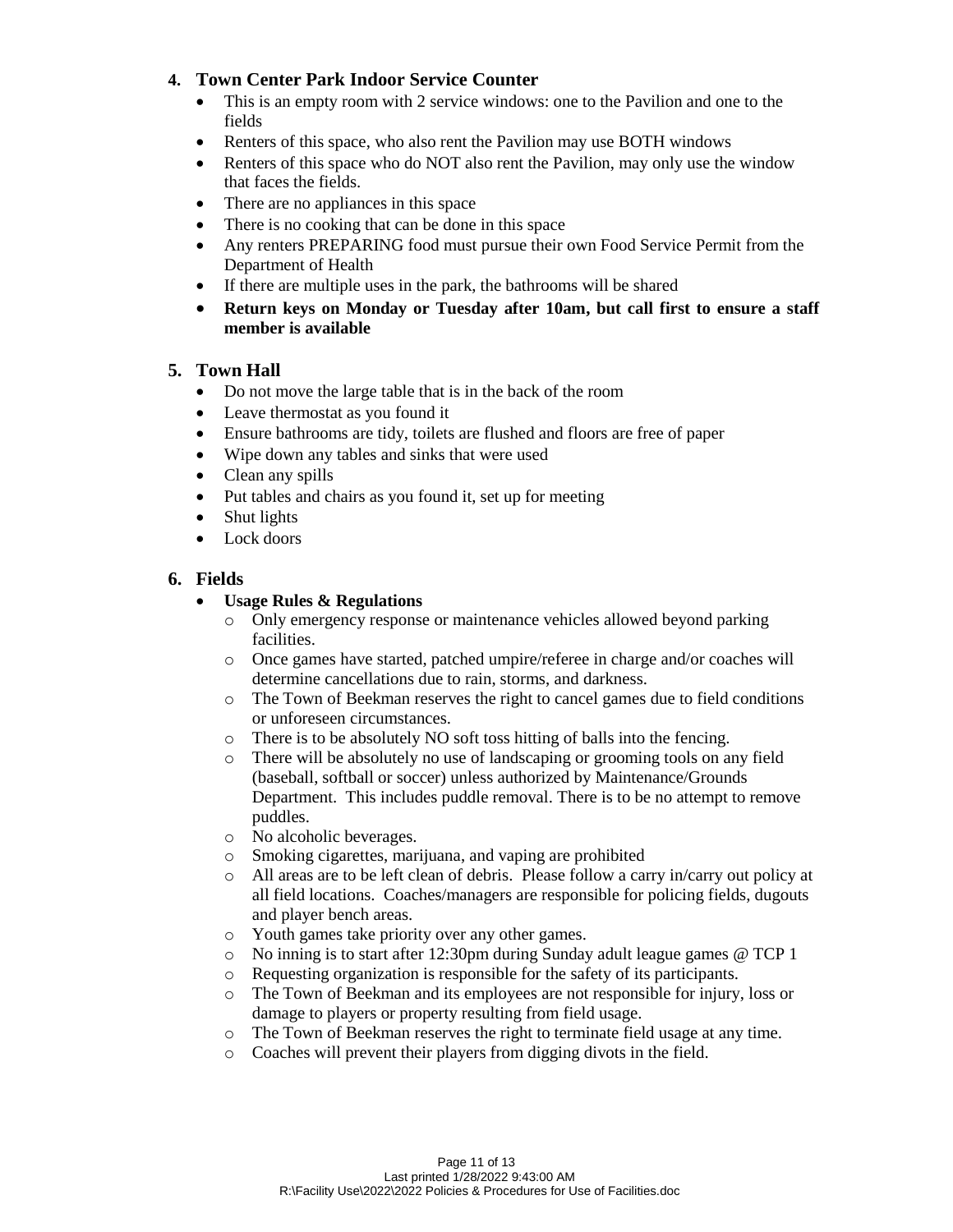#### **4. Town Center Park Indoor Service Counter**

- This is an empty room with 2 service windows: one to the Pavilion and one to the fields
- Renters of this space, who also rent the Pavilion may use BOTH windows
- Renters of this space who do NOT also rent the Pavilion, may only use the window that faces the fields.
- There are no appliances in this space
- There is no cooking that can be done in this space
- Any renters PREPARING food must pursue their own Food Service Permit from the Department of Health
- If there are multiple uses in the park, the bathrooms will be shared
- **Return keys on Monday or Tuesday after 10am, but call first to ensure a staff member is available**

#### **5. Town Hall**

- Do not move the large table that is in the back of the room
- Leave thermostat as you found it
- Ensure bathrooms are tidy, toilets are flushed and floors are free of paper
- Wipe down any tables and sinks that were used
- Clean any spills
- Put tables and chairs as you found it, set up for meeting
- Shut lights
- Lock doors

#### **6. Fields**

#### **Usage Rules & Regulations**

- o Only emergency response or maintenance vehicles allowed beyond parking facilities.
- o Once games have started, patched umpire/referee in charge and/or coaches will determine cancellations due to rain, storms, and darkness.
- o The Town of Beekman reserves the right to cancel games due to field conditions or unforeseen circumstances.
- o There is to be absolutely NO soft toss hitting of balls into the fencing.
- o There will be absolutely no use of landscaping or grooming tools on any field (baseball, softball or soccer) unless authorized by Maintenance/Grounds Department. This includes puddle removal. There is to be no attempt to remove puddles.
- o No alcoholic beverages.
- o Smoking cigarettes, marijuana, and vaping are prohibited
- o All areas are to be left clean of debris. Please follow a carry in/carry out policy at all field locations. Coaches/managers are responsible for policing fields, dugouts and player bench areas.
- o Youth games take priority over any other games.
- o No inning is to start after 12:30pm during Sunday adult league games @ TCP 1
- o Requesting organization is responsible for the safety of its participants.
- o The Town of Beekman and its employees are not responsible for injury, loss or damage to players or property resulting from field usage.
- o The Town of Beekman reserves the right to terminate field usage at any time.
- o Coaches will prevent their players from digging divots in the field.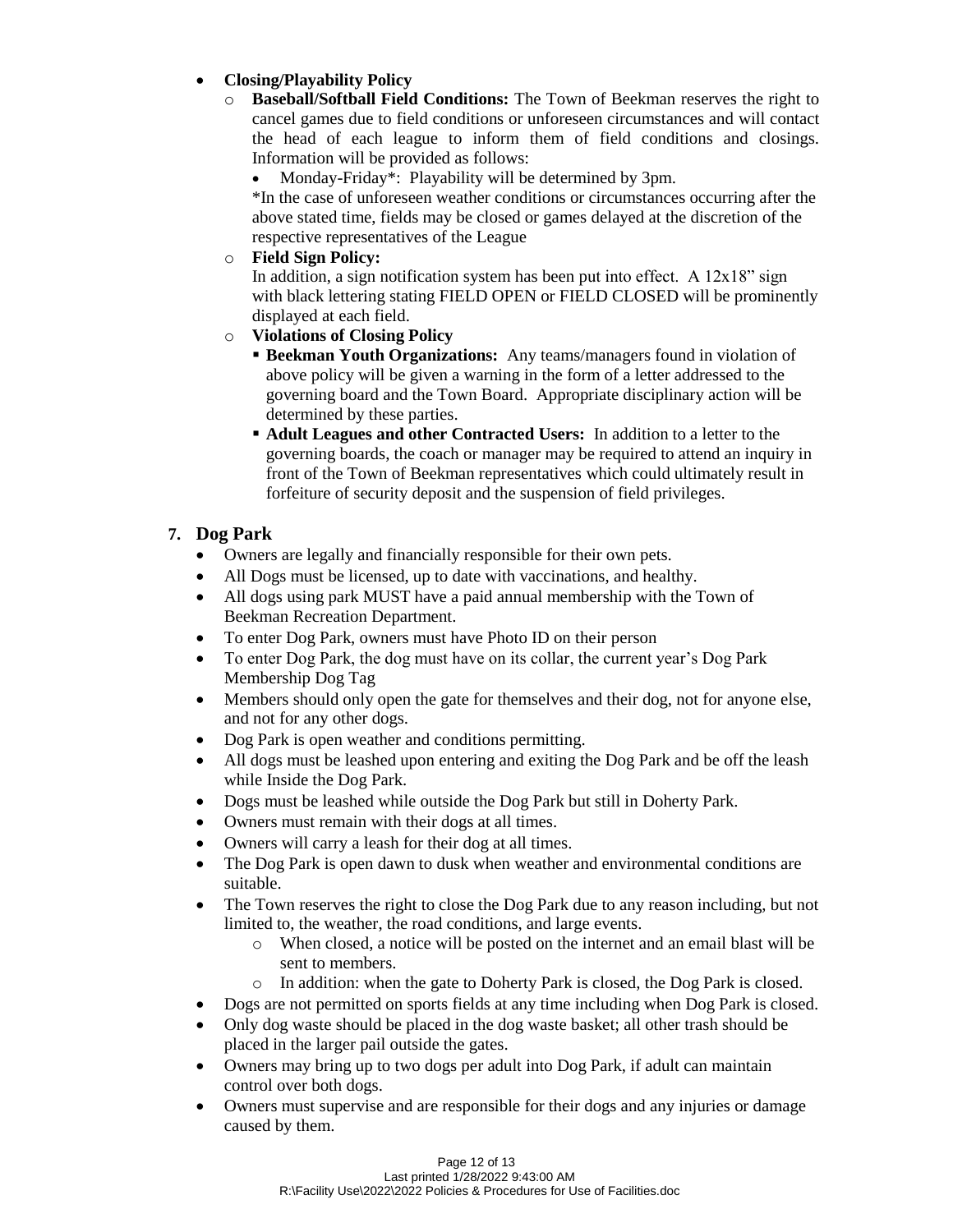#### **Closing/Playability Policy**

- o **Baseball/Softball Field Conditions:** The Town of Beekman reserves the right to cancel games due to field conditions or unforeseen circumstances and will contact the head of each league to inform them of field conditions and closings. Information will be provided as follows:
	- Monday-Friday\*: Playability will be determined by 3pm.

\*In the case of unforeseen weather conditions or circumstances occurring after the above stated time, fields may be closed or games delayed at the discretion of the respective representatives of the League

o **Field Sign Policy:**

In addition, a sign notification system has been put into effect. A  $12x18$ " sign with black lettering stating FIELD OPEN or FIELD CLOSED will be prominently displayed at each field.

- o **Violations of Closing Policy**
	- **Beekman Youth Organizations:** Any teams/managers found in violation of above policy will be given a warning in the form of a letter addressed to the governing board and the Town Board. Appropriate disciplinary action will be determined by these parties.
	- **Adult Leagues and other Contracted Users:** In addition to a letter to the governing boards, the coach or manager may be required to attend an inquiry in front of the Town of Beekman representatives which could ultimately result in forfeiture of security deposit and the suspension of field privileges.

#### **7. Dog Park**

- Owners are legally and financially responsible for their own pets.
- All Dogs must be licensed, up to date with vaccinations, and healthy.
- All dogs using park MUST have a paid annual membership with the Town of Beekman Recreation Department.
- To enter Dog Park, owners must have Photo ID on their person
- To enter Dog Park, the dog must have on its collar, the current year's Dog Park Membership Dog Tag
- Members should only open the gate for themselves and their dog, not for anyone else, and not for any other dogs.
- Dog Park is open weather and conditions permitting.
- All dogs must be leashed upon entering and exiting the Dog Park and be off the leash while Inside the Dog Park.
- Dogs must be leashed while outside the Dog Park but still in Doherty Park.
- Owners must remain with their dogs at all times.
- Owners will carry a leash for their dog at all times.
- The Dog Park is open dawn to dusk when weather and environmental conditions are suitable.
- The Town reserves the right to close the Dog Park due to any reason including, but not limited to, the weather, the road conditions, and large events.
	- o When closed, a notice will be posted on the internet and an email blast will be sent to members.
	- o In addition: when the gate to Doherty Park is closed, the Dog Park is closed.
- Dogs are not permitted on sports fields at any time including when Dog Park is closed.
- Only dog waste should be placed in the dog waste basket; all other trash should be placed in the larger pail outside the gates.
- Owners may bring up to two dogs per adult into Dog Park, if adult can maintain control over both dogs.
- Owners must supervise and are responsible for their dogs and any injuries or damage caused by them.